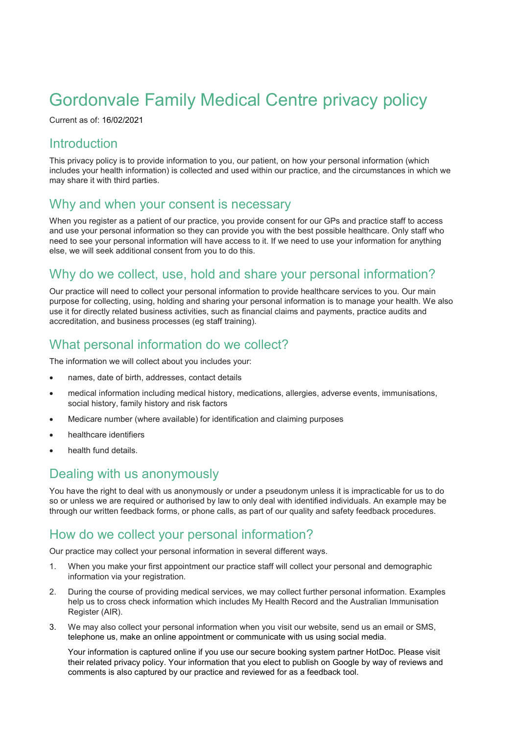# Gordonvale Family Medical Centre privacy policy

Current as of: 16/02/2021

#### **Introduction**

This privacy policy is to provide information to you, our patient, on how your personal information (which includes your health information) is collected and used within our practice, and the circumstances in which we may share it with third parties.

#### Why and when your consent is necessary

When you register as a patient of our practice, you provide consent for our GPs and practice staff to access and use your personal information so they can provide you with the best possible healthcare. Only staff who need to see your personal information will have access to it. If we need to use your information for anything else, we will seek additional consent from you to do this.

### Why do we collect, use, hold and share your personal information?

Our practice will need to collect your personal information to provide healthcare services to you. Our main purpose for collecting, using, holding and sharing your personal information is to manage your health. We also use it for directly related business activities, such as financial claims and payments, practice audits and accreditation, and business processes (eg staff training).

#### What personal information do we collect?

The information we will collect about you includes your:

- names, date of birth, addresses, contact details
- medical information including medical history, medications, allergies, adverse events, immunisations, social history, family history and risk factors
- Medicare number (where available) for identification and claiming purposes
- healthcare identifiers
- health fund details.

#### Dealing with us anonymously

You have the right to deal with us anonymously or under a pseudonym unless it is impracticable for us to do so or unless we are required or authorised by law to only deal with identified individuals. An example may be through our written feedback forms, or phone calls, as part of our quality and safety feedback procedures.

#### How do we collect your personal information?

Our practice may collect your personal information in several different ways.

- 1. When you make your first appointment our practice staff will collect your personal and demographic information via your registration.
- 2. During the course of providing medical services, we may collect further personal information. Examples help us to cross check information which includes My Health Record and the Australian Immunisation Register (AIR).
- 3. We may also collect your personal information when you visit our website, send us an email or SMS, telephone us, make an online appointment or communicate with us using social media.

Your information is captured online if you use our secure booking system partner HotDoc. Please visit their related privacy policy. Your information that you elect to publish on Google by way of reviews and comments is also captured by our practice and reviewed for as a feedback tool.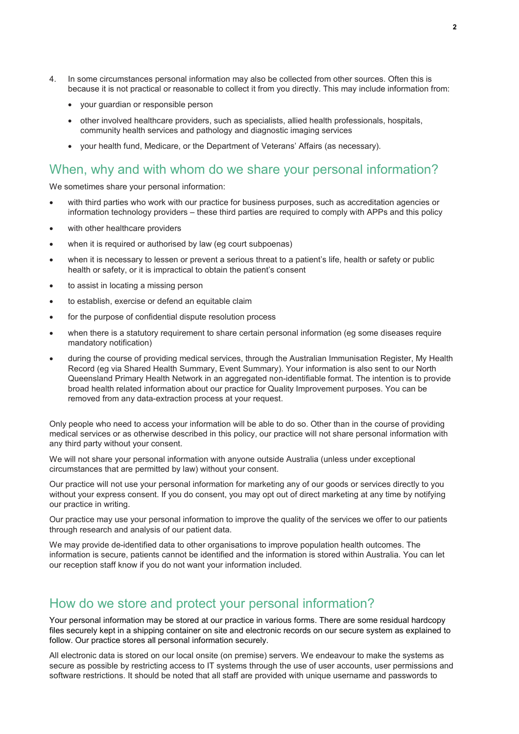- 4. In some circumstances personal information may also be collected from other sources. Often this is because it is not practical or reasonable to collect it from you directly. This may include information from:
	- your guardian or responsible person
	- other involved healthcare providers, such as specialists, allied health professionals, hospitals, community health services and pathology and diagnostic imaging services
	- your health fund, Medicare, or the Department of Veterans' Affairs (as necessary).

#### When, why and with whom do we share your personal information?

We sometimes share your personal information:

- with third parties who work with our practice for business purposes, such as accreditation agencies or information technology providers – these third parties are required to comply with APPs and this policy
- with other healthcare providers
- when it is required or authorised by law (eg court subpoenas)
- when it is necessary to lessen or prevent a serious threat to a patient's life, health or safety or public health or safety, or it is impractical to obtain the patient's consent
- to assist in locating a missing person
- to establish, exercise or defend an equitable claim
- for the purpose of confidential dispute resolution process
- when there is a statutory requirement to share certain personal information (eg some diseases require mandatory notification)
- during the course of providing medical services, through the Australian Immunisation Register, My Health Record (eg via Shared Health Summary, Event Summary). Your information is also sent to our North Queensland Primary Health Network in an aggregated non-identifiable format. The intention is to provide broad health related information about our practice for Quality Improvement purposes. You can be removed from any data-extraction process at your request.

Only people who need to access your information will be able to do so. Other than in the course of providing medical services or as otherwise described in this policy, our practice will not share personal information with any third party without your consent.

We will not share your personal information with anyone outside Australia (unless under exceptional circumstances that are permitted by law) without your consent.

Our practice will not use your personal information for marketing any of our goods or services directly to you without your express consent. If you do consent, you may opt out of direct marketing at any time by notifying our practice in writing.

Our practice may use your personal information to improve the quality of the services we offer to our patients through research and analysis of our patient data.

We may provide de-identified data to other organisations to improve population health outcomes. The information is secure, patients cannot be identified and the information is stored within Australia. You can let our reception staff know if you do not want your information included.

#### How do we store and protect your personal information?

Your personal information may be stored at our practice in various forms. There are some residual hardcopy files securely kept in a shipping container on site and electronic records on our secure system as explained to follow. Our practice stores all personal information securely.

All electronic data is stored on our local onsite (on premise) servers. We endeavour to make the systems as secure as possible by restricting access to IT systems through the use of user accounts, user permissions and software restrictions. It should be noted that all staff are provided with unique username and passwords to